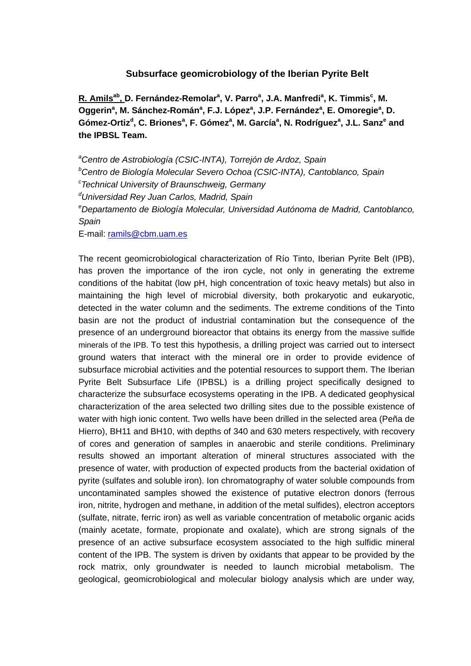## **Subsurface geomicrobiology of the Iberian Pyrite Belt**

 $R$ . Amils<sup>ab</sup>, D. Fernández-Remolar<sup>a</sup>, V. Parro<sup>a</sup>, J.A. Manfredi<sup>a</sup>, K. Timmis<sup>c</sup>, M. Oggerin<sup>a</sup>, M. Sánchez-Román<sup>a</sup>, F.J. López<sup>a</sup>, J.P. Fernández<sup>a</sup>, E. Omoregie<sup>a</sup>, D. Gómez-Ortiz<sup>d</sup>, C. Briones<sup>a</sup>, F. Gómez<sup>a</sup>, M. García<sup>a</sup>, N. Rodríguez<sup>a</sup>, J.L. Sanz<sup>e</sup> and **the IPBSL Team.** 

*a Centro de Astrobiología (CSIC-INTA), Torrejón de Ardoz, Spain b Centro de Biología Molecular Severo Ochoa (CSIC-INTA), Cantoblanco, Spain c Technical University of Braunschweig, Germany d Universidad Rey Juan Carlos, Madrid, Spain e Departamento de Biología Molecular, Universidad Autónoma de Madrid, Cantoblanco, Spain* 

E-mail: ramils@cbm.uam.es

The recent geomicrobiological characterization of Río Tinto, Iberian Pyrite Belt (IPB), has proven the importance of the iron cycle, not only in generating the extreme conditions of the habitat (low pH, high concentration of toxic heavy metals) but also in maintaining the high level of microbial diversity, both prokaryotic and eukaryotic, detected in the water column and the sediments. The extreme conditions of the Tinto basin are not the product of industrial contamination but the consequence of the presence of an underground bioreactor that obtains its energy from the massive sulfide minerals of the IPB. To test this hypothesis, a drilling project was carried out to intersect ground waters that interact with the mineral ore in order to provide evidence of subsurface microbial activities and the potential resources to support them. The Iberian Pyrite Belt Subsurface Life (IPBSL) is a drilling project specifically designed to characterize the subsurface ecosystems operating in the IPB. A dedicated geophysical characterization of the area selected two drilling sites due to the possible existence of water with high ionic content. Two wells have been drilled in the selected area (Peña de Hierro), BH11 and BH10, with depths of 340 and 630 meters respectively, with recovery of cores and generation of samples in anaerobic and sterile conditions. Preliminary results showed an important alteration of mineral structures associated with the presence of water, with production of expected products from the bacterial oxidation of pyrite (sulfates and soluble iron). Ion chromatography of water soluble compounds from uncontaminated samples showed the existence of putative electron donors (ferrous iron, nitrite, hydrogen and methane, in addition of the metal sulfides), electron acceptors (sulfate, nitrate, ferric iron) as well as variable concentration of metabolic organic acids (mainly acetate, formate, propionate and oxalate), which are strong signals of the presence of an active subsurface ecosystem associated to the high sulfidic mineral content of the IPB. The system is driven by oxidants that appear to be provided by the rock matrix, only groundwater is needed to launch microbial metabolism. The geological, geomicrobiological and molecular biology analysis which are under way,